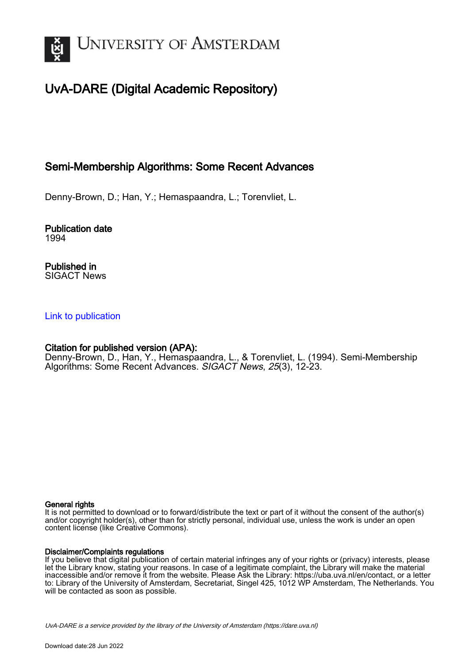

# UvA-DARE (Digital Academic Repository)

# Semi-Membership Algorithms: Some Recent Advances

Denny-Brown, D.; Han, Y.; Hemaspaandra, L.; Torenvliet, L.

Publication date 1994

Published in SIGACT News

### [Link to publication](https://dare.uva.nl/personal/pure/en/publications/semimembership-algorithms-some-recent-advances(b4527666-071e-44fa-a9f1-979f0efba5e5).html)

### Citation for published version (APA):

Denny-Brown, D., Han, Y., Hemaspaandra, L., & Torenvliet, L. (1994). Semi-Membership Algorithms: Some Recent Advances. SIGACT News, 25(3), 12-23.

### General rights

It is not permitted to download or to forward/distribute the text or part of it without the consent of the author(s) and/or copyright holder(s), other than for strictly personal, individual use, unless the work is under an open content license (like Creative Commons).

### Disclaimer/Complaints regulations

If you believe that digital publication of certain material infringes any of your rights or (privacy) interests, please let the Library know, stating your reasons. In case of a legitimate complaint, the Library will make the material inaccessible and/or remove it from the website. Please Ask the Library: https://uba.uva.nl/en/contact, or a letter to: Library of the University of Amsterdam, Secretariat, Singel 425, 1012 WP Amsterdam, The Netherlands. You will be contacted as soon as possible.

UvA-DARE is a service provided by the library of the University of Amsterdam (http*s*://dare.uva.nl)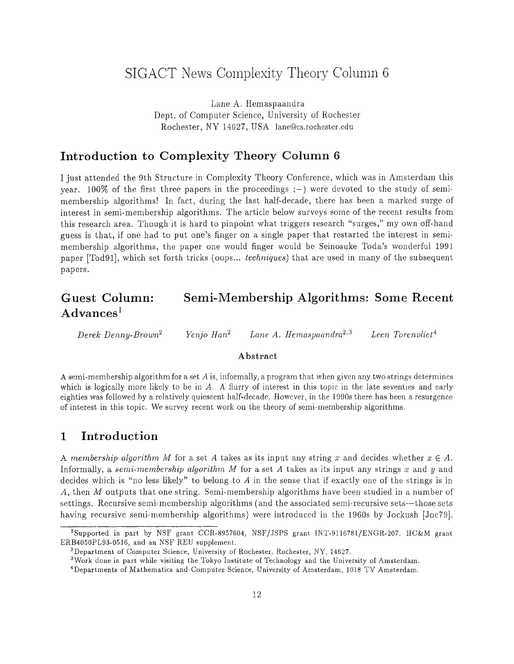# SIGACT News Complexity Theory Column <sup>6</sup>

Lane A. Hemaspaandra Dept. of Computer Science, University of Rochester Rochester, NY 14627, USA lane@cs.rochester.edu

# Introduction to Complexity Theory Column <sup>6</sup>

I just attended the 9th Structure in Complexity Theory Conference, which was in Amsterdam this year. 100% of the first three papers in the proceedings  $;-$ ) were devoted to the study of semimembership algorithms! In fact, during the last half-decade, there has been a marked surge of interest in semi-membership algorithms. The article below surveys some of the recent results from this research area. Though it is hard to pinpoint what triggers research "surges," my own off-hand guess is that, if one had to put one's finger on a single paper that restarted the interest in semi membership algorithms, the paper one would finger would be Seinosuke Toda's wonderful 1991 paper [Tod91], which set forth tricks (oops... *techniques*) that are used in many of the subsequent papers.

# Guest Column: Semi-Membership Algorithms: Some Recent  $Advances<sup>1</sup>$

*Derek Denny-Brown<sup>2</sup> <i>Yenjo Han<sup>2</sup> Lane A. Hemaspaandra*<sup>2,3</sup> *Leen Torenvliet<sup>4</sup>* 

#### *Abstract*

A semi-membership algorithm for a set A is, informally, a program that when given any two strings determines which is logically more likely to be in *A*. A flurry of interest in this topic in the late seventies and early eighties was followed by a relatively quiescent half-decade . However, in the 1990s there has been a resurgence of interest in this topic . We survey recent work on the theory of semi-membership algorithms .

# <sup>1</sup> Introduction

*A membership algorithm M* for a set A takes as its input any string x and decides whether  $x \in A$ . Informally, a *semi-membership algorithm M* for a set A takes as its input any strings  $x$  and  $y$  and decides which is "no less likely" to belong to  $A$  in the sense that if exactly one of the strings is in A, then M outputs that one string. Semi-membership algorithms have been studied in a number of settings. Recursive semi-membership algorithms (and the associated semi-recursive sets—those sets having recursive semi-membership algorithms) were introduced in the 1960s by Jockush [Joc79].

<sup>&#</sup>x27;Supported in part by NSF grant CCR-8957604, NSF/JSPS grant INT-9116781/ENGR-207, HC&M grant ERB4050PL93-0516, and an NSF REU supplement.

<sup>&</sup>lt;sup>2</sup>Department of Computer Science, University of Rochester, Rochester, NY, 14627.

<sup>&</sup>lt;sup>3</sup>Work done in part while visiting the Tokyo Institute of Technology and the University of Amsterdam.

<sup>&#</sup>x27;Departments of Mathematics and Computer Science, University of Amsterdam, 1018 TV Amsterdam .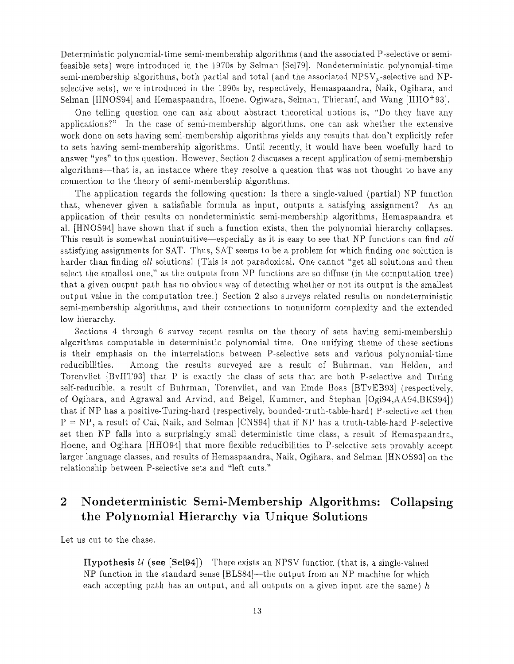Deterministic polynomial-time semi-membership algorithms (and the associated P-selective or semifeasible sets) were introduced in the 1970s by Selman [Se179] . Nondeterministic polynomial-time semi-membership algorithms, both partial and total (and the associated  $NPSV_p$ -selective and NPselective sets), were introduced in the 1990s by, respectively, Hemaspaandra, Naik, Ogihara, and Selman [HNOS94] and Hemaspaandra, Hoene, Ogiwara, Selman, Thierauf, and Wang [HHO+93].

One telling question one can ask about abstract theoretical notions is, "Do they have any applications?" In the case of semi-membership algorithms, one can ask whether the extensive work done on sets having semi-membership algorithms yields any results that don't explicitly refer to sets having semi-membership algorithms. Until recently, it would have been woefully hard to answer "yes" to this question. However, Section 2 discusses a recent application of semi-membership algorithms—that is, an instance where they resolve a question that was not thought to have any connection to the theory of semi-membership algorithms .

The application regards the following question: Is there a single-valued (partial) NP function that, whenever given a satisfiable formula as input, outputs a satisfying assignment? As an application of their results on nondeterministic semi-membership algorithms, Hemaspaandra et al. [HNOS94] have shown that if such a function exists, then the polynomial hierarchy collapses. This result is somewhat nonintuitive—especially as it is easy to see that NP functions can find *all* satisfying assignments for SAT. Thus, SAT seems to be a problem for which finding one solution is harder than finding *all* solutions! (This is not paradoxical. One cannot "get all solutions and then select the smallest one," as the outputs from NP functions are so diffuse (in the computation tree ) that a given output path has no obvious way of detecting whether or not its output is the smallest output value in the computation tree.) Section 2 also surveys related results on nondeterministic semi-membership algorithms, and their connections to nonuniform complexity and the extended low hierarchy.

Sections 4 through 6 survey recent results on the theory of sets having semi-membership algorithms computable in deterministic polynomial time. One unifying theme of these sections is their emphasis on the interrelations between P-selective sets and various polynomial-time reducibilities. Among the results surveyed are a result of Buhrman, van Helden, and Torenvliet [BvHT93] that P is exactly the class of sets that are both P-selective and Turing self-reducible, a result of Buhrman, Torenvliet, and van Emde Boas [BTvEB93] (respectively, of Ogihara, and Agrawal and Arvind, and Beigel, Kummer, and Stephan [Ogi94,AA94,BKS94] ) that if NP has a positive-Turing-hard (respectively, bounded-truth-table-hard) P-selective set then  $P = NP$ , a result of Cai, Naik, and Selman [CNS94] that if NP has a truth-table-hard P-selective set then NP falls into a surprisingly small deterministic time class, a result of Hemaspaandra, Hoene, and Ogihara [HHO94] that more flexible reducibilities to P-selective sets provably accept larger language classes, and results of Hemaspaandra, Naik, Ogihara, and Selman [HNOS93] on the relationship between P-selective sets and "left cuts. "

# 2 Nondeterministic Semi-Membership Algorithms: Collapsing the Polynomial Hierarchy via Unique Solutions

Let us cut to the chase.

**Hypothesis**  $U$  (see [Sel94]) There exists an NPSV function (that is, a single-valued NP function in the standard sense  $[BLS84]$ —the output from an NP machine for which each accepting path has an output, and all outputs on a given input are the same)  $h$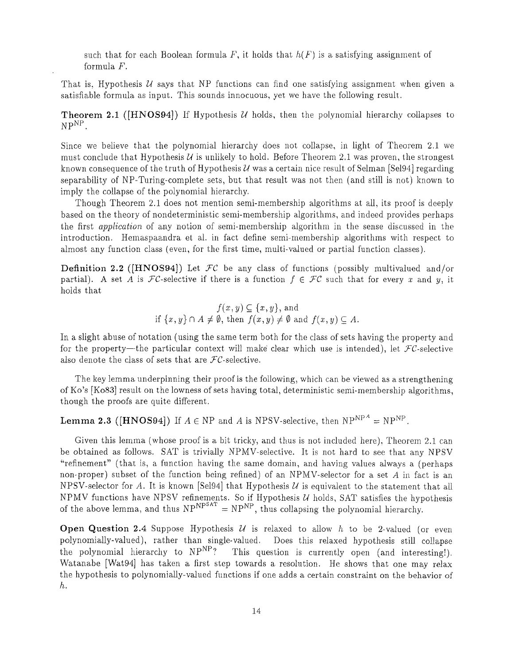such that for each Boolean formula F, it holds that  $h(F)$  is a satisfying assignment of formula F.

That is. Hypothesis  $U$  says that NP functions can find one satisfying assignment when given a satisfiable formula as input. This sounds innocuous, yet we have the following result.

**Theorem 2.1** ([HNOS94]) If Hypothesis  $U$  holds, then the polynomial hierarchy collapses to  $NP<sup>NP</sup>$ .

Since we believe that the polynomial hierarchy does not collapse, in light of Theorem 2 .1 we must conclude that Hypothesis  $U$  is unlikely to hold. Before Theorem 2.1 was proven, the strongest known consequence of the truth of Hypothesis U was a certain nice result of Selman [Sel94] regarding separability of NP-Turing-complete sets, but that result was not then (and still is not) known to imply the collapse of the polynomial hierarchy.

Though Theorem 2.1 does not mention semi-membership algorithms at all, its proof is deeply based on the theory of nondeterministic semi-membership algorithms, and indeed provides perhaps the first *application* of any notion of semi-membership algorithm in the sense discussed in the introduction. Hemaspaandra et al. in fact define semi-membership algorithms with respect to almost any function class (even, for the first time, multi-valued or partial function classes) .

**Definition 2.2** ([HNOS94]) Let  $\mathcal{FC}$  be any class of functions (possibly multivalued and/or partial). A set A is  $FC$ -selective if there is a function  $f \in FC$  such that for every x and y, it holds that

$$
f(x, y) \subseteq \{x, y\}, \text{ and}
$$
  
if  $\{x, y\} \cap A \neq \emptyset$ , then  $f(x, y) \neq \emptyset$  and  $f(x, y) \subseteq A$ .

In a slight abuse of notation (using the same term both for the class of sets having the property and for the property—the particular context will make clear which use is intended), let  $FC\text{-selective}$ also denote the class of sets that are  $FC$ -selective.

The key lemma underpinning their proof is the following, which can be viewed as a strengthening of Ko's [Ko83] result on the lowness of sets having total, deterministic semi-membership algorithms , though the proofs are quite different.

**Lemma 2.3** ([HNOS94]) If  $A \in \mathbb{NP}$  and *A* is NPSV-selective, then  $\mathbb{NP}^{\mathbb{NP}^A} = \mathbb{NP}^{\mathbb{NP}^A}$ .

Given this lemma (whose proof is a bit tricky, and thus is not included here), Theorem 2.1 can be obtained as follows. SAT is trivially NPMV-selective. It is not hard to see that any NPSV "refinement" (that is, a function having the same domain, and having values always a (perhaps non-proper) subset of the function being refined) of an NPMV-selector for a set *A* in fact is an NPSV-selector for A. It is known [Sel94] that Hypothesis U is equivalent to the statement that all NPMV functions have NPSV refinements. So if Hypothesis  $U$  holds, SAT satisfies the hypothesis of the above lemma, and thus  $NP^{NPSAT} = NP^{NP}$ , thus collapsing the polynomial hierarchy.

**Open Question 2.4** Suppose Hypothesis  $U$  is relaxed to allow h to be 2-valued (or even polynomially-valued), rather than single-valued. Does this relaxed hypothesis still collapse<br>the polynomial hierarchy to NP<sup>NP</sup>? This question is currently open (and interesting!). This question is currently open (and interesting!). Watanabe [Wat94] has taken a first step towards a resolution. He shows that one may relax the hypothesis to polynomially-valued functions if one adds a certain constraint on the behavior of  $h$ .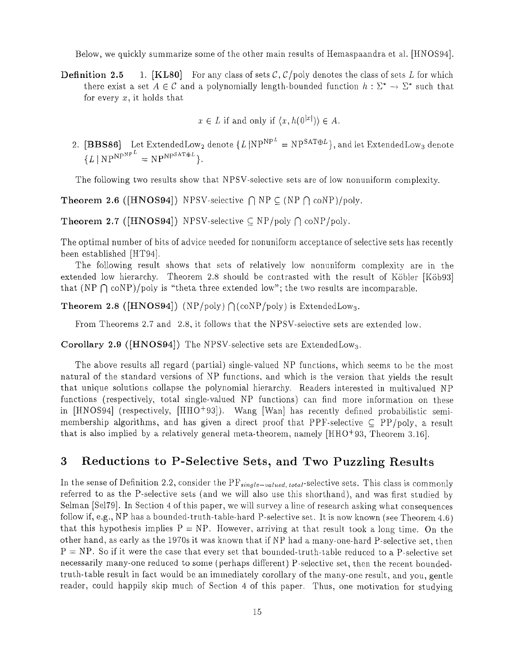Below, we quickly summarize some of the other main results of Hemaspaandra et al. [HNOS94].

**Definition 2.5** 1. [KL80] For any class of sets  $C$ ,  $C$ /poly denotes the class of sets L for which there exist a set  $A \in \mathcal{C}$  and a polynomially length-bounded function  $h : \Sigma^* \to \Sigma^*$  such that for every  $x$ , it holds that

 $x \in L$  if and only if  $\langle x, h(0^{|x|}) \rangle \in A$ .

2. [BBS86] Let ExtendedLow<sub>2</sub> denote  $\{L \, | \text{NP}^{NP^L} = \text{NP}^{SAT \oplus L} \}$ , and let ExtendedLow<sub>3</sub> denote  ${L \mid NP^{NPP^L} = NP^{NPSAT\oplus L}}.$ 

The following two results show that NPSV-selective sets are of low nonuniform complexity.

**Theorem 2.6** ([HNOS94]) NPSV-selective  $\bigcap$  NP  $\subseteq$  (NP  $\bigcap$  coNP)/poly.

**Theorem 2.7** ([HNOS94]) NPSV-selective  $\subseteq$  NP/poly  $\cap$  coNP/poly.

The optimal number of bits of advice needed for nonuniform acceptance of selective sets has recently been established [HT94] .

The following result shows that sets of relatively low nonuniform complexity are in the extended low hierarchy. Theorem 2.8 should be contrasted with the result of Köbler [Köb93] that (NP  $\bigcap$  coNP)/poly is "theta three extended low"; the two results are incomparable.

**Theorem 2.8** ([HNOS94]) (NP/poly)  $\bigcap (coNP/poly)$  is ExtendedLow<sub>3</sub>.

From Theorems 2.7 and 2.8, it follows that the NPSV-selective sets are extended low.

Corollary 2.9 ([HNOS94]) The NPSV-selective sets are ExtendedLow<sub>3</sub>.

The above results all regard (partial) single-valued NP functions, which seems to be the most natural of the standard versions of NP functions, and which is the version that yields the result that unique solutions collapse the polynomial hierarchy. Readers interested in multivalued NP functions (respectively, total single-valued NP functions) can find more information on these in [HNOS94] (respectively, [HHO<sup>+</sup>93]). Wang [Wan] has recently defined probabilistic semimembership algorithms, and has given a direct proof that PPF-selective  $\subset$  PP/poly, a result that is also implied by a relatively general meta-theorem, namely  $[HHO+93,$  Theorem 3.16].

# 3 Reductions to P-Selective Sets, and Two Puzzling Results

In the sense of Definition 2.2, consider the  $PF_{single-valued, total}$ -selective sets. This class is commonly referred to as the P-selective sets (and we will also use this shorthand), and was first studied by Selman [Sel79]. In Section 4 of this paper, we will survey a line of research asking what consequences follow if, e.g., NP has a bounded-truth-table-hard P-selective set. It is now known (see Theorem 4.6) that this hypothesis implies  $P = NP$ . However, arriving at that result took a long time. On the other hand, as early as the 1970s it was known that if NP had a many-one-hard P-selective set, then  $P = NP$ . So if it were the case that every set that bounded-truth-table reduced to a P-selective set necessarily many-one reduced to some (perhaps different) P-selective set, then the recent boundedtruth-table result in fact would be an immediately corollary of the many-one result, and you, gentle reader, could happily skip much of Section 4 of this paper. Thus, one motivation for studying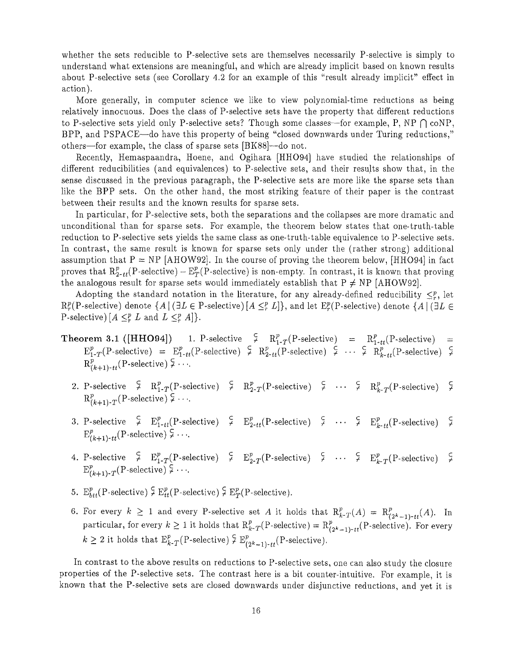whether the sets reducible to  $P$ -selective sets are themselves necessarily  $P$ -selective is simply to understand what extensions are meaningful, and which are already implicit based on known results about P-selective sets (see Corollary 4.2 for an example of this "result already implicit" effect in action).

More generally, in computer science we like to view polynomial-time reductions as being relatively innocuous. Does the class of P-selective sets have the property that different reductions to P-selective sets yield only P-selective sets? Though some classes—for example, P, NP  $\bigcap \text{coNP}$ , BPP, and PSPACE—do have this property of being "closed downwards under Turing reductions, " others—for example, the class of sparse sets [BK88]—do not .

Recently, Hemaspaandra, Hoene, and Ogihara [HHO94] have studied the relationships of different reducibilities (and equivalences) to P-selective sets, and their results show that, in the sense discussed in the previous paragraph, the P-selective sets are more like the sparse sets than like the BPP sets. On the other hand, the most striking feature of their paper is the contrast between their results and the known results for sparse sets .

In particular, for P-selective sets, both the separations and the collapses are more dramatic and unconditional than for sparse sets. For example, the theorem below states that one-truth-table reduction to P-selective sets yields the same class as one-truth-table equivalence to P-selective sets. In contrast, the same result is known for sparse sets only under the (rather strong) additional assumption that  $P = NP$  [AHOW92]. In the course of proving the theorem below, [HHO94] in fact proves that  $R_{2-t}^p(P\text{-selective}) - E_T^p(P\text{-selective})$  is non-empty. In contrast, it is known that proving the analogous result for sparse sets would immediately establish that  $P \neq NP$  [AHOW92].

Adopting the standard notation in the literature, for any already-defined reducibility  $\leq_r^p$ , let  $R_r^p(P\text{-selective})$  denote  $\{A \mid (\exists L \in P\text{-selective}) [A \leq_r^p L]\}$ , and let  $E_r^p(P\text{-selective})$  denote  $\{A \mid (\exists L \in P\text{-selective}) [A \leq_r^p L]\}$ P-selective)  $[A \leq^p_r L \text{ and } L \leq^p_r A]\}.$ 

- $\varphi = \mathrm{R}_{1\text{-}T}^p(\text{P-selective})$  $\varphi$  R<sub>2-tt</sub>(P-selective)  $=$   $R_{1-tt}^p(P\text{-selective})$  $\varphi$  *R*<sub>*k*-tt</sub>(P-selective)  $\varphi$ **Theorem 3.1** ([HHO94]) 1. P-selective  $E_{1-T}^p(P\text{-selective}) = E_{1-tt}^p(P\text{-selective})$  $R^p_{(k+1)-tt}$ (P-selective)  $\frac{1}{2} \cdots$ 
	- 2. P-selective  $\varphi$   $\mathbb{R}^p_{1\text{-}T}(\text{P-selective})$   $\varphi$   $\mathbb{R}^p_{2\text{-}T}(\text{P-selective})$   $\varphi$   $\cdots$   $\varphi$   $\mathbb{R}^p_{k\text{-}T}(\text{P-selective})$   $\varphi$  $R^p_{(k+1)-T}$ (P-selective)  $\frac{C}{r}$  ...
	- 3. P-selective  $\begin{array}{cc} \xi & \to_{1-tt} (P\text{-selective}) & \xi & \to_{2-tt} (P\text{-selective}) & \xi & \cdots & \xi & \to_{k-tt} (P\text{-selective}) & \xi \end{array}$  $E^p_{(k+1)-tt}$ (P-selective)  $\subsetneq \cdots$
	- 4. P-selective  $\frac{c}{r}$   $E_{1-T}^p(P\text{-selective})$   $\frac{c}{r}$   $E_{2-T}^p(P\text{-selective})$   $\frac{c}{r}$   $\cdots$   $\frac{c}{r}$   $E_{k-T}^p(P\text{-selective})$   $\frac{c}{r}$  $E_{(k+1)-T}^p$  (P-selective)  $\frac{1}{2} \cdots$
	- 5.  $E_{btt}^p$ (P-selective)  $\frac{1}{7} E_{tt}^p$ (P-selective)  $\frac{1}{7} E_T^p$ (P-selective).
	- 6. For every  $k \geq 1$  and every P-selective set *A* it holds that  $R_{k}^p(T(A)) = R_{(2k-1)+tt}^p(A)$ . In particular, for every  $k \ge 1$  it holds that  $\mathrm{R}_{k}^p(T)$ -selective) =  $\mathrm{R}_{(2^k-1)-tt}^p(P)$ -selective). For every  $k \geq 2$  it holds that  $E_{k-T}^p(P\text{-selective}) \subsetneq E_{(2k-1)-tt}^p(P\text{-selective})$ .

In contrast to the above results on reductions to P-selective sets, one can also study the closure properties of the P-selective sets. The contrast here is a bit counter-intuitive. For example, it is known that the P-selective sets are closed downwards under disjunctive reductions, and yet it is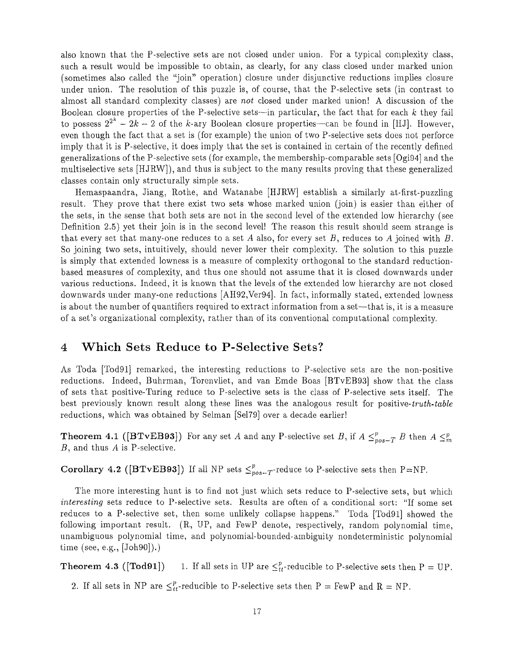also known that the P-selective sets are not closed under union. For a typical complexity class, such a result would be impossible to obtain, as clearly, for any class closed under marked union (sometimes also called the "join" operation) closure under disjunctive reductions implies closure under union. The resolution of this puzzle is, of course, that the P-selective sets (in contrast to almost all standard complexity classes) are *not* closed under marked union! A discussion of the Boolean closure properties of the P-selective sets—in particular, the fact that for each k they fail to possess  $2^{2^k} - 2k - 2$  of the k-ary Boolean closure properties—can be found in [HJ]. However, even though the fact that a set is (for example) the union of two P-selective sets does not perforce imply that it is P-selective, it does imply that the set is contained in certain of the recently defined generalizations of the P-selective sets (for example, the membership-comparable sets  $[Ogi94]$  and the multiselective sets [HJRW]), and thus is subject to the many results proving that these generalize <sup>d</sup> classes contain only structurally simple sets .

Hemaspaandra, Jiang, Rothe, and Watanabe [HJRW] establish a similarly at-first-puzzling result. They prove that there exist two sets whose marked union (join) is easier than either of the sets, in the sense that both sets are not in the second level of the extended low hierarchy (see Definition 2.5) yet their join is in the second level! The reason this result should seem strange is that every set that many-one reduces to a set A also, for every set  $B$ , reduces to A joined with  $B$ . So joining two sets, intuitively, should never lower their complexity. The solution to this puzzle is simply that extended lowness is a measure of complexity orthogonal to the standard reduction based measures of complexity, and thus one should not assume that it is closed downwards under various reductions. Indeed, it is known that the levels of the extended low hierarchy are not closed downwards under many-one reductions [AH92, Ver94]. In fact, informally stated, extended lowness is about the number of quantifiers required to extract information from a set—that is, it is a measure of a set's organizational complexity, rather than of its conventional computational complexity .

## **4 Which Sets Reduce to P-Selective Sets ?**

As Toda [Tod91] remarked, the interesting reductions to P-selective sets are the non-positive reductions. Indeed, Buhrman, Torenvliet, and van Emde Boas [BTvEB93] show that the class of sets that positive-Turing reduce to P-selective sets is the class of P-selective sets itself . The best previously known result along these lines was the analogous result for positive-truth-table reductions, which was obtained by Selman [Se179] over a decade earlier !

**Theorem 4.1** ([BTvEB93]) For any set *A* and any P-selective set *B*, if  $A \leq_{pos-T}^p B$  then  $A \leq_m^p B$ B, and thus *A* is P-selective .

**Corollary 4.2 ([BTvEB93])** If all NP sets  $\leq_{pos-T}^p$ -reduce to P-selective sets then P=NP.

The more interesting hunt is to find not just which sets reduce to P-selective sets, but which *interesting* sets reduce to P-selective sets. Results are often of a conditional sort: "If some set reduces to a P-selective set, then some unlikely collapse happens." Toda [Tod91] showed the following important result. (R, UP, and FewP denote, respectively, random polynomial time, unambiguous polynomial time, and polynomial-bounded-ambiguity nondeterministic polynomial time  $(see, e.g., [Joh90]).)$ 

**Theorem 4.3 ([Tod91])** 1. If all sets in UP are  $\leq_{tt}^p$ -reducible to P-selective sets then P = UP.

2. If all sets in NP are  $\leq_{tt}^p$ -reducible to P-selective sets then P = FewP and R = NP.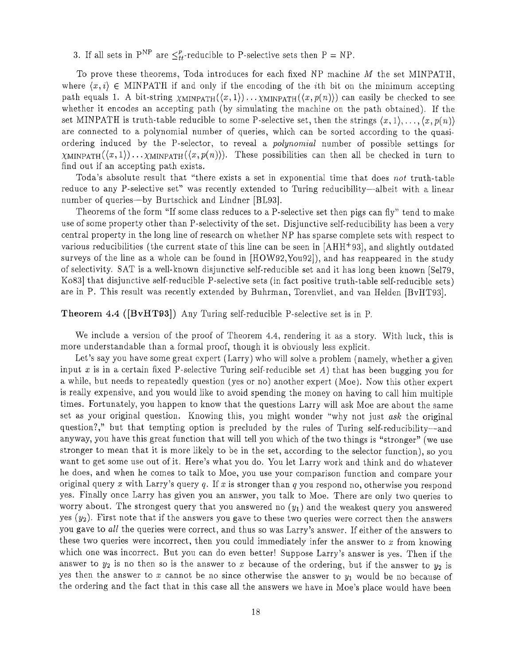3. If all sets in P<sup>NP</sup> are  $\leq_t^p$ -reducible to P-selective sets then P = NP.

To prove these theorems, Toda introduces for each fixed NP machine  $M$  the set MINPATH, where  $\langle x, i \rangle \in \text{MINPATH}$  if and only if the encoding of the *i*th bit on the minimum accepting path equals 1. A bit-string  $\chi$ MINPATH $(\langle x, 1 \rangle) \ldots \chi$ MINPATH $(\langle x, p(n) \rangle)$  can easily be checked to see whether it encodes an accepting path (by simulating the machine on the path obtained). If the set MINPATH is truth-table reducible to some P-selective set, then the strings  $\langle x, 1 \rangle, \ldots, \langle x, p(n) \rangle$ are connected to a polynomial number of queries, which can be sorted according to the quasiordering induced by the P-selector, to reveal a *polynomial* number of possible settings for  $\chi$ MINPATH $(\langle x,1\rangle) \dots \chi$ MINPATH $(\langle x,p(n)\rangle)$ . These possibilities can then all be checked in turn to find out if an accepting path exists.

Toda's absolute result that "there exists a set in exponential time that does *not* truth-table reduce to any P-selective set" was recently extended to Turing reducibility-albeit with a linear number of queries—by Burtschick and Lindner [BL93].

Theorems of the form "If some class reduces to a P-selective set then pigs can fly" tend to make use of some property other than P-selectivity of the set. Disjunctive self-reducibility has been a very central property in the long line of research on whether NP has sparse complete sets with respect to various reducibilities (the current state of this line can be seen in [AHH+ 93], and slightly outdated surveys of the line as a whole can be found in [HOW92, You92]), and has reappeared in the study of selectivity. SAT is a well-known disjunctive self-reducible set and it has long been known [Se179 , Ko83] that disjunctive self-reducible P-selective sets (in fact positive truth-table self-reducible sets ) are in P. This result was recently extended by Buhrman, Torenvliet, and van Helden [BvHT93].

### **Theorem 4.4 ([BvHT93])** Any Turing self-reducible P-selective set is in P.

We include a version of the proof of Theorem 4.4, rendering it as a story. With luck, this is more understandable than a formal proof, though it is obviously less explicit.

Let's say you have some great expert (Larry) who will solve a problem (namely, whether a given input  $x$  is in a certain fixed P-selective Turing self-reducible set  $A$ ) that has been bugging you for a while, but needs to repeatedly question (yes or no) another expert (Moe). Now this other expert is really expensive, and you would like to avoid spending the money on having to call him multiple times. Fortunately, you happen to know that the questions Larry will ask Moe are about the same set as your original question. Knowing this, you might wonder "why not just ask the original question?," but that tempting option is precluded by the rules of Turing self-reducibility-and anyway, you have this great function that will tell you which of the two things is "stronger" (we use stronger to mean that it is more likely to be in the set, according to the selector function), so you want to get some use out of it. Here's what you do. You let Larry work and think and do whatever he does, and when he comes to talk to Moe, you use your comparison function and compare your original query x with Larry 's query *<sup>q</sup> .* If *x* is stronger than *q you* respond no, otherwise you respond yes. Finally once Larry has given you an answer, you talk to Moe. There are only two queries to worry about. The strongest query that you answered no  $(y_1)$  and the weakest query you answered yes  $(y_2)$ . First note that if the answers you gave to these two queries were correct then the answers you gave to *all* the queries were correct, and thus so was Larry's answer. If either of the answers to these two queries were incorrect, then you could immediately infer the answer to  $x$  from knowing which one was incorrect. But you can do even better! Suppose Larry's answer is yes. Then if the answer to  $y_2$  is no then so is the answer to *x* because of the ordering, but if the answer to  $y_2$  is yes then the answer to x cannot be no since otherwise the answer to  $y_1$  would be no because of the ordering and the fact that in this case all the answers we have in Moe's place would have been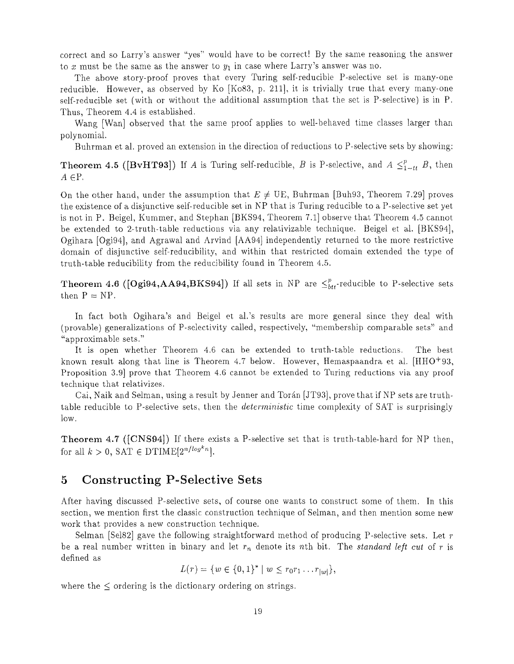correct and so Larry's answer "yes" would have to be correct! By the same reasoning the answer to x must be the same as the answer to  $y_1$  in case where Larry's answer was no.

The above story-proof proves that every Turing self-reducible P-selective set is many-one reducible. However, as observed by Ko [Ko83, p. 211], it is trivially true that every many-one self-reducible set (with or without the additional assumption that the set is P-selective) is in P . Thus, Theorem 4 .4 is established .

Wang [Wan] observed that the same proof applies to well-behaved time classes larger than polynomial .

Buhrman et al. proved an extension in the direction of reductions to P-selective sets by showing:

**Theorem 4.5 ([BvHT93])** If *A* is Turing self-reducible, *B* is P-selective, and  $A \leq_{1-t}^p B$ , then  $A \in \mathbb{P}$ .

On the other hand, under the assumption that  $E \neq \text{UE}$ , Buhrman [Buh93, Theorem 7.29] proves the existence of a disjunctive self-reducible set in NP that is Turing reducible to a P-selective set yet is not in P. Beigel, Kummer, and Stephan [BKS94, Theorem 7.1] observe that Theorem 4.5 cannot be extended to 2-truth-table reductions via any relativizable technique. Beigel et al. [BKS94], Ogihara [Ogi94], and Agrawal and Arvind [AA94] independently returned to the more restrictive domain of disjunctive self-reducibility, and within that restricted domain extended the type of truth-table reducibility from the reducibility found in Theorem 4 .5 .

**Theorem 4.6 (** $[Ogi94,AA94,BKS94]$ **) If all sets in NP are**  $\leq_{btt}^{p}$ **-reducible to P-selective sets** then  $P = NP$ .

In fact both Ogihara's and Beigel et al.'s results are more general since they deal with (provable) generalizations of P-selectivity called, respectively, "membership comparable sets" an d "approximable sets . "

It is open whether Theorem 4.6 can be extended to truth-table reductions. The best known result along that line is Theorem 4.7 below. However, Hemaspaandra et al.  $[HHO+93,$ Proposition 3.9 prove that Theorem 4.6 cannot be extended to Turing reductions via any proof technique that relativizes .

Cai, Naik and Selman, using a result by Jenner and Torán [JT93], prove that if NP sets are truthtable reducible to P-selective sets, then the *deterministic* time complexity of SAT is surprisingly low .

**Theorem 4.7** ([CNS94]) If there exists a P-selective set that is truth-table-hard for NP then, for all  $k > 0$ , SAT  $\in \mathrm{DTIME}[2^{n/log^k n}].$ 

## 5 Constructing P-Selective Sets

After having discussed P-selective sets, of course one wants to construct some of them. In this section, we mention first the classic construction technique of Selman, and then mention some new work that provides a new construction technique.

Selman [Sel82] gave the following straightforward method of producing P-selective sets. Let  $r$ be a real number written in binary and let  $r_n$  denote its nth bit. The *standard left cut* of  $r$  is defined as

$$
L(r) = \{ w \in \{0,1\}^* \mid w \leq r_0 r_1 \dots r_{|w|} \},\
$$

where the  $\leq$  ordering is the dictionary ordering on strings.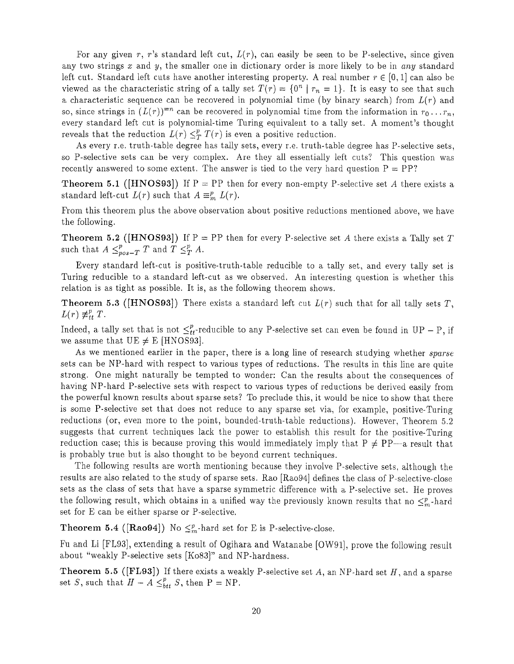For any given  $r, r$ 's standard left cut,  $L(r)$ , can easily be seen to be P-selective, since given any two strings x and y, the smaller one in dictionary order is more likely to be in any standard left cut. Standard left cuts have another interesting property. A real number  $r \in [0, 1]$  can also be viewed as the characteristic string of a tally set  $T(r) = \{0^n | r_n = 1\}$ . It is easy to see that such a characteristic sequence can be recovered in polynomial time (by binary search) from *L(r)* and so, since strings in  $(L(r))^{m}$  can be recovered in polynomial time from the information in  $r_0 \ldots r_n$ , every standard left cut is polynomial-time Turing equivalent to a tally set . A moment's thought reveals that the reduction  $L(r) \leq_T^p T(r)$  is even a positive reduction.

As every r.e. truth-table degree has tally sets, every r.e. truth-table degree has P-selective sets, so P-selective sets can be very complex. Are they all essentially left cuts? This question was recently answered to some extent. The answer is tied to the very hard question  $P = PP$ ?

**Theorem 5.1 ([HNOS93])** If  $P = PP$  then for every non-empty P-selective set A there exists a standard left-cut  $L(r)$  such that  $A \equiv_m^n L(r)$ .

From this theorem plus the above observation about positive reductions mentioned above, we have the following.

**Theorem 5.2** ([HNOS93]) If  $P = PP$  then for every P-selective set A there exists a Tally set T such that  $A \leq_{pos-T}^p T$  and  $T \leq_T^p A$ .

Every standard left-cut is positive-truth-table reducible to a tally set, and every tally set is Turing reducible to a standard left-cut as we observed. An interesting question is whether this relation is as tight as possible. It is, as the following theorem shows.

**Theorem 5.3 ([HNOS93])** There exists a standard left cut  $L(r)$  such that for all tally sets T,  $L(r) \neq_{tt}^p T$ .

Indeed, a tally set that is not  $\leq_{tt}^p$ -reducible to any P-selective set can even be found in UP – P, if we assume that  $UE \neq E$  [HNOS93].

As we mentioned earlier in the paper, there is a long line of research studying whether *sparse* sets can be NP-hard with respect to various types of reductions. The results in this line are quite strong. One might naturally be tempted to wonder: Can the results about the consequences of having NP-hard P-selective sets with respect to various types of reductions be derived easily from the powerful known results about sparse sets? To preclude this, it would be nice to show that there is some P-selective set that does not reduce to any sparse set via, for example, positive-Turing reductions (or, even more to the point, bounded-truth-table reductions). However, Theorem 5.2 suggests that current techniques lack the power to establish this result for the positive-Turing reduction case; this is because proving this would immediately imply that  $P \neq PP-a$  result that is probably true but is also thought to be beyond current techniques.

The following results are worth mentioning because they involve P-selective sets, although the results are also related to the study of sparse sets. Rao [Rao94] defines the class of P-selective-close sets as the class of sets that have a sparse symmetric difference with a P-selective set. He proves the following result, which obtains in a unified way the previously known results that no  $\leq^p_m$ -hard set for E can be either sparse or P-selective.

**Theorem 5.4 ([Rao94])** No  $\leq^p_m$ -hard set for E is P-selective-close.

Fu and Li [FL93], extending a result of Ogihara and Watanabe [OW91], prove the following result about "weakly P-selective sets [Ko83]" and NP-hardness .

**Theorem 5.5 ([FL93])** If there exists a weakly P-selective set  $A$ , an NP-hard set  $H$ , and a sparse set S, such that  $H - A \leq_{btt}^p S$ , then P = NP.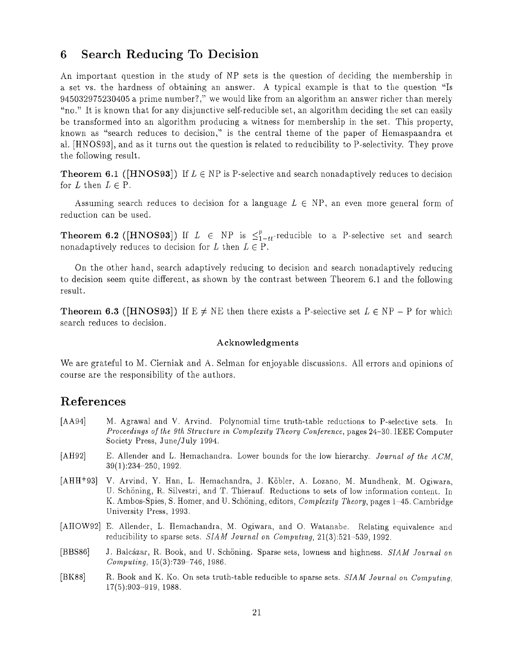## 6 Search Reducing To Decision

An important question in the study of NP sets is the question of deciding the membership in a set vs. the hardness of obtaining an answer. A typical example is that to the question "Is 945032975230405 a prime number?," we would like from an algorithm an answer richer than merely "no." It is known that for any disjunctive self-reducible set, an algorithm deciding the set can easily be transformed into an algorithm producing a witness for membership in the set, This property, known as "search reduces to decision," is the central theme of the paper of Hemaspaandra et al . [HNOS93], and as it turns out the question is related to reducibility to P-selectivity . They prove the following result .

**Theorem 6.1** ([HNOS93]) If  $L \in NP$  is P-selective and search nonadaptively reduces to decision for  $L$  then  $L \in \mathcal{P}$ .

Assuming search reduces to decision for a language  $L \in NP$ , an even more general form of reduction can be used.

**Theorem 6.2 ([HNOS93])** If  $L \in NP$  is  $\leq_{1-t}^{p}$ -reducible to a P-selective set and search nonadaptively reduces to decision for L then  $L \in \mathbb{P}$ .

On the other hand, search adaptively reducing to decision and search nonadaptively reducing to decision seem quite different, as shown by the contrast between Theorem 6 .1 and the following result.

**Theorem 6.3 ([HNOS93])** If  $E \neq NE$  then there exists a P-selective set  $L \in NP - P$  for which search reduces to decision .

#### **Acknowledgment <sup>s</sup>**

We are grateful to M. Cierniak and A. Selman for enjoyable discussions. All errors and opinions of course are the responsibility of the authors .

## **References**

- [AA94] M . Agrawal and V . Arvind. Polynomial time truth-table reductions to P-selective sets . In *Proceedings of the 9th Structure in Complexity Theory Conference,* pages 24-30. IEEE Computer Society Press, June/July 1994.
- [AH92] E. Allender and L . Hemachandra. Lower bounds for the low hierarchy. *Journal of the ACM,* 39(1) :234-250, 1992 .
- [AHH<sup>+</sup>93] V. Arvind, Y. Han, L. Hemachandra, J. Köbler, A. Lozano, M. Mundhenk, M. Ogiwara, U. Schöning, R. Silvestri, and T. Thierauf. Reductions to sets of low information content. In K. Ambos-Spies, S. Homer, and U. Schöning, editors, *Complexity Theory*, pages 1–45. Cambridge University Press, 1993 .
- [AHOW92] E. Allender, L. Hemachandra, M. Ogiwara, and O. Watanabe. Relating equivalence and reducibility to sparse sets. SIAM *Journal on Computing*, 21(3):521-539, 1992.
- [BBS86] <sup>J</sup> . Balcazar, R. Book, and U . Schoning . Sparse sets, lowness and highness. *SIAM Journal o <sup>n</sup> Computing,* 15(3) :739-746, 1986 .
- [BK88] R. Book and K. Ko. On sets truth-table reducible to sparse sets . *SIAM Journal on Computing ,* 17(5) :903-919, 1988 .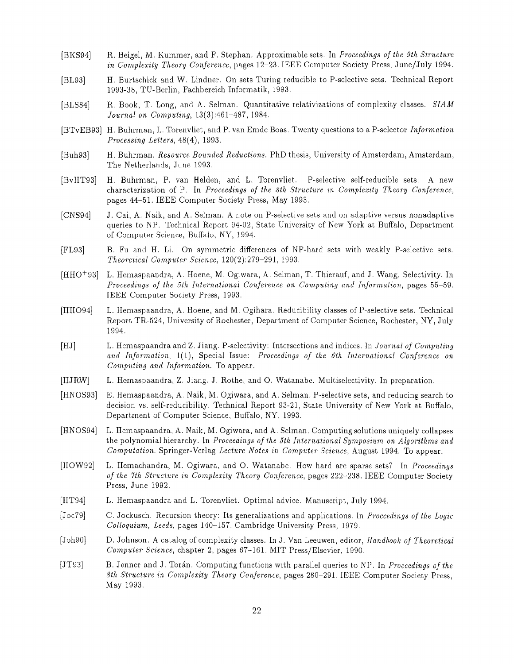- [BKS94] R. Beigel, M . Kummer, and F . Stephan . Approximable sets . In *Proceedings of the 9th Structur <sup>e</sup> in Complexity Theory Conference,* pages 12-23. IEEE Computer Society Press, June/July 1994 .
- [BL93] H . Burtschick and W. Lindner. On sets Turing reducible to P-selective sets . Technical Report 1993-38, TU-Berlin, Fachbereich Informatik, 1993 .
- [BLS84] R. Book, T. Long, and A. Selman. Quantitative relativizations of complexity classes. SIAM *Journal on Computing,* 13(3) :461-487, 1984 .
- [BTvEB93] H . Buhrman, L . Torenvliet, and P . van Emde Boas. Twenty questions to a P-selector *Informatio n Processing Letters,* 48(4), 1993.
- [Buh93] H. Buhrman. *Resource Bounded Reductions*. PhD thesis, University of Amsterdam, Amsterdam, The Netherlands, June 1993 .
- [BvHT93] H. Buhrman, P. van Helden, and L. Torenvliet. P-selective self-reducible sets: A new characterization of P . In *Proceedings of the 8th Structure in Complexity Theory Conference ,* pages 44-51 . IEEE Computer Society Press, May 1993 .
- [CNS94] J. Cai, A. Naik, and A. Selman. A note on P-selective sets and on adaptive versus nonadaptive queries to NP. Technical Report 94-02, State University of New York at Buffalo, Department of Computer Science, Buffalo, NY, 1994 .
- [FL93] <sup>B</sup> . Fu and H . Li . On symmetric differences of NP-hard sets with weakly P-selective sets . *Theoretical Computer Science,* 120(2) :279-291, 1993 .
- [HHO<sup>+93]</sup> L. Hemaspaandra, A. Hoene, M. Ogiwara, A. Selman, T. Thierauf, and J. Wang. Selectivity. In *Proceedings of the 5th International Conference on Computing and Information,* pages 55-59 . IEEE Computer Society Press, 1993 .
- [HHO94] L. Hemaspaandra, A . Hoene, and M . Ogihara. Reducibility classes of P-selective sets. Technical Report TR-524, University of Rochester, Department of Computer Science, Rochester, NY, July 1994 .
- [HJ] L. Hemaspaandra and Z. Jiang. P-selectivity : Intersections and indices. In *Journal of Computin <sup>g</sup>* and Information, 1(1), Special Issue: Proceedings of the 6th International Conference on *Computing and Information . To* appear.
- [HJRW] L. Hemaspaandra, Z. Jiang, J. Rothe, and O. Watanabe. Multiselectivity. In preparation.
- [HNOS93] E . Hemaspaandra, A. Naik, M . Ogiwara, and A . Selman . P-selective sets, and reducing search to decision vs. self-reducibility. Technical Report 93-21, State University of New York at Buffalo, Department of Computer Science, Buffalo, NY, 1993 .
- [HNOS94] L. Hemaspaandra, A. Naik, M. Ogiwara, and A . Selman. Computing solutions uniquely collapses the polynomial hierarchy . In *Proceedings of the 5th International Symposium on Algorithms an d Computation.* Springer-Verlag *Lecture Notes in Computer Science,* August 1994 . To appear.
- [HOW92] L . Hemachandra, M . Ogiwara, and 0 . Watanabe. How hard are sparse sets? In *Proceedings of the 7th Structure in Complexity Theory Conference,* pages 222-238. IEEE Computer Society Press, June 1992.
- [HT94] <sup>L</sup> . Hemaspaandra and L . Torenvliet . Optimal advice . Manuscript, July 1994 .
- [Joc79] C . Jockusch . Recursion theory : Its generalizations and applications. In *Proceedings of the Logi c Colloquium, Leeds,* pages 140-157. Cambridge University Press, 1979 .
- [Joh90] D . Johnson . A catalog of complexity classes. In J. Van Leeuwen, editor, *Handbook of Theoretica <sup>l</sup> Computer Science,* chapter 2, pages 67-161 . MIT Press/Elsevier, 1990 .
- [JT93] B. Jenner and J . Toran . Computing functions with parallel queries to NP . In *Proceedings of th <sup>e</sup> 8th Structure in Complexity Theory Conference,* pages 280-291 . IEEE Computer Society Press, May 1993.